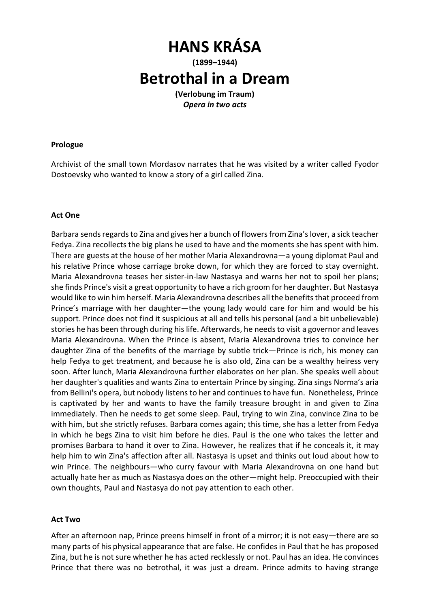# **HANS KRÁSA (1899–1944) Betrothal in a Dream (Verlobung im Traum)**

*Opera in two acts* 

### **Prologue**

Archivist of the small town Mordasov narrates that he was visited by a writer called Fyodor Dostoevsky who wanted to know a story of a girl called Zina.

## **Act One**

Barbara sends regards to Zina and gives her a bunch of flowers from Zina's lover, a sick teacher Fedya. Zina recollects the big plans he used to have and the moments she has spent with him. There are guests at the house of her mother Maria Alexandrovna—a young diplomat Paul and his relative Prince whose carriage broke down, for which they are forced to stay overnight. Maria Alexandrovna teases her sister-in-law Nastasya and warns her not to spoil her plans; she finds Prince's visit a great opportunity to have a rich groom for her daughter. But Nastasya would like to win him herself. Maria Alexandrovna describes all the benefits that proceed from Prince's marriage with her daughter—the young lady would care for him and would be his support. Prince does not find it suspicious at all and tells his personal (and a bit unbelievable) stories he has been through during his life. Afterwards, he needs to visit a governor and leaves Maria Alexandrovna. When the Prince is absent, Maria Alexandrovna tries to convince her daughter Zina of the benefits of the marriage by subtle trick—Prince is rich, his money can help Fedya to get treatment, and because he is also old, Zina can be a wealthy heiress very soon. After lunch, Maria Alexandrovna further elaborates on her plan. She speaks well about her daughter's qualities and wants Zina to entertain Prince by singing. Zina sings Norma's aria from Bellini's opera, but nobody listens to her and continues to have fun. Nonetheless, Prince is captivated by her and wants to have the family treasure brought in and given to Zina immediately. Then he needs to get some sleep. Paul, trying to win Zina, convince Zina to be with him, but she strictly refuses. Barbara comes again; this time, she has a letter from Fedya in which he begs Zina to visit him before he dies. Paul is the one who takes the letter and promises Barbara to hand it over to Zina. However, he realizes that if he conceals it, it may help him to win Zina's affection after all. Nastasya is upset and thinks out loud about how to win Prince. The neighbours—who curry favour with Maria Alexandrovna on one hand but actually hate her as much as Nastasya does on the other—might help. Preoccupied with their own thoughts, Paul and Nastasya do not pay attention to each other.

#### **Act Two**

After an afternoon nap, Prince preens himself in front of a mirror; it is not easy—there are so many parts of his physical appearance that are false. He confides in Paul that he has proposed Zina, but he is not sure whether he has acted recklessly or not. Paul has an idea. He convinces Prince that there was no betrothal, it was just a dream. Prince admits to having strange